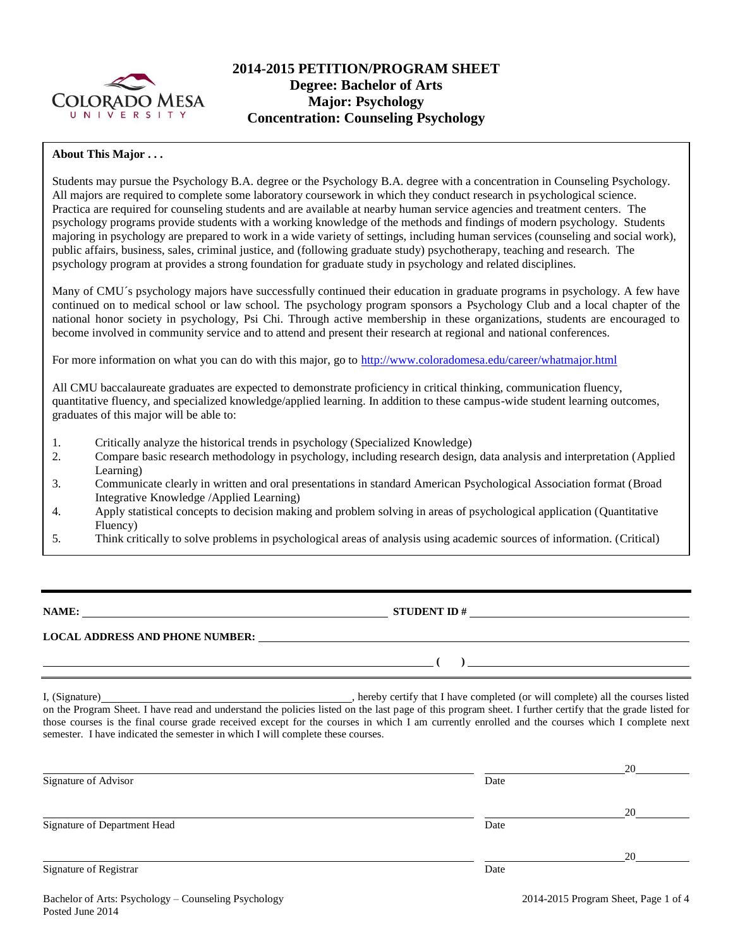

# **2014-2015 PETITION/PROGRAM SHEET Degree: Bachelor of Arts Major: Psychology Concentration: Counseling Psychology**

# **About This Major . . .**

Students may pursue the Psychology B.A. degree or the Psychology B.A. degree with a concentration in Counseling Psychology. All majors are required to complete some laboratory coursework in which they conduct research in psychological science. Practica are required for counseling students and are available at nearby human service agencies and treatment centers. The psychology programs provide students with a working knowledge of the methods and findings of modern psychology. Students majoring in psychology are prepared to work in a wide variety of settings, including human services (counseling and social work), public affairs, business, sales, criminal justice, and (following graduate study) psychotherapy, teaching and research. The psychology program at provides a strong foundation for graduate study in psychology and related disciplines.

Many of CMU´s psychology majors have successfully continued their education in graduate programs in psychology. A few have continued on to medical school or law school. The psychology program sponsors a Psychology Club and a local chapter of the national honor society in psychology, Psi Chi. Through active membership in these organizations, students are encouraged to become involved in community service and to attend and present their research at regional and national conferences.

For more information on what you can do with this major, go to<http://www.coloradomesa.edu/career/whatmajor.html>

All CMU baccalaureate graduates are expected to demonstrate proficiency in critical thinking, communication fluency, quantitative fluency, and specialized knowledge/applied learning. In addition to these campus-wide student learning outcomes, graduates of this major will be able to:

- 1. Critically analyze the historical trends in psychology (Specialized Knowledge)
- 2. Compare basic research methodology in psychology, including research design, data analysis and interpretation (Applied Learning)
- 3. Communicate clearly in written and oral presentations in standard American Psychological Association format (Broad Integrative Knowledge /Applied Learning)
- 4. Apply statistical concepts to decision making and problem solving in areas of psychological application (Quantitative Fluency)
- 5. Think critically to solve problems in psychological areas of analysis using academic sources of information. (Critical)

**NAME: STUDENT ID #** 

# **LOCAL ADDRESS AND PHONE NUMBER:**

I, (Signature) , hereby certify that I have completed (or will complete) all the courses listed on the Program Sheet. I have read and understand the policies listed on the last page of this program sheet. I further certify that the grade listed for those courses is the final course grade received except for the courses in which I am currently enrolled and the courses which I complete next semester. I have indicated the semester in which I will complete these courses.

|      | 20 |
|------|----|
| Date |    |
|      | 20 |
| Date |    |
|      | 20 |
| Date |    |
|      |    |

**( )**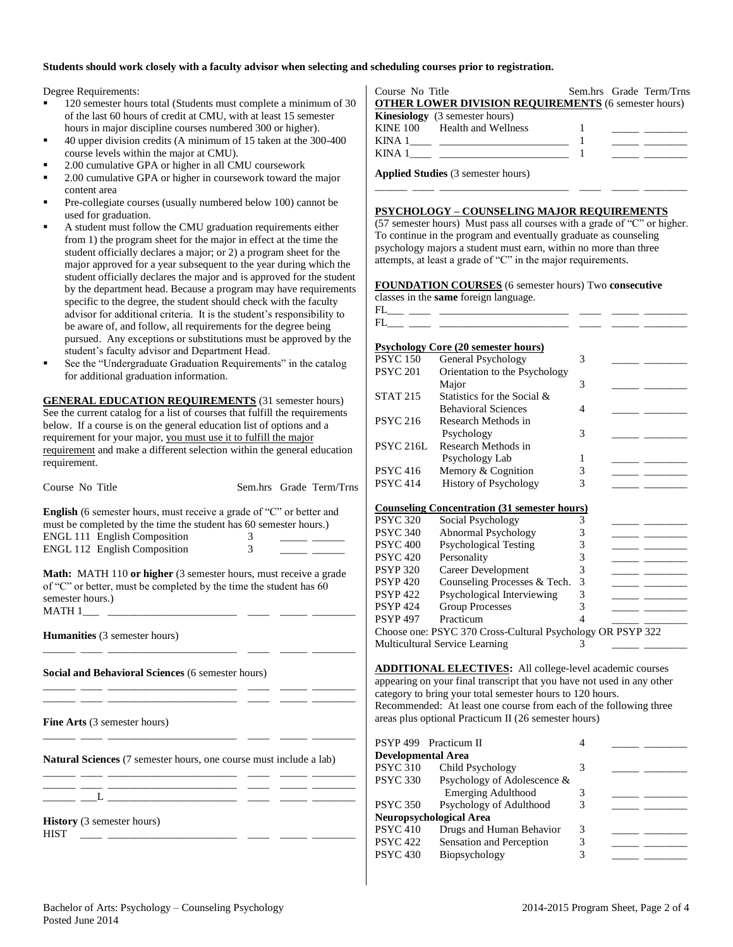### **Students should work closely with a faculty advisor when selecting and scheduling courses prior to registration.**

Degree Requirements:

- 120 semester hours total (Students must complete a minimum of 30 of the last 60 hours of credit at CMU, with at least 15 semester hours in major discipline courses numbered 300 or higher).
- 40 upper division credits (A minimum of 15 taken at the 300-400 course levels within the major at CMU).
- 2.00 cumulative GPA or higher in all CMU coursework
- 2.00 cumulative GPA or higher in coursework toward the major content area
- Pre-collegiate courses (usually numbered below 100) cannot be used for graduation.
- A student must follow the CMU graduation requirements either from 1) the program sheet for the major in effect at the time the student officially declares a major; or 2) a program sheet for the major approved for a year subsequent to the year during which the student officially declares the major and is approved for the student by the department head. Because a program may have requirements specific to the degree, the student should check with the faculty advisor for additional criteria. It is the student's responsibility to be aware of, and follow, all requirements for the degree being pursued. Any exceptions or substitutions must be approved by the student's faculty advisor and Department Head.
- See the "Undergraduate Graduation Requirements" in the catalog for additional graduation information.

**GENERAL EDUCATION REQUIREMENTS** (31 semester hours) See the current catalog for a list of courses that fulfill the requirements below. If a course is on the general education list of options and a requirement for your major, you must use it to fulfill the major requirement and make a different selection within the general education requirement.

| Course No Title                                                           |                                           | Sem.hrs Grade Term/Trns | <b>PSYC 414</b> |
|---------------------------------------------------------------------------|-------------------------------------------|-------------------------|-----------------|
| English (6 semester hours, must receive a grade of "C" or better and      |                                           |                         | Counselin       |
| must be completed by the time the student has 60 semester hours.)         |                                           |                         | <b>PSYC 320</b> |
| ENGL 111 English Composition                                              | $\overline{3}$                            |                         | <b>PSYC 340</b> |
| ENGL 112 English Composition                                              | $\overline{3}$                            |                         | <b>PSYC 400</b> |
|                                                                           |                                           |                         | <b>PSYC 420</b> |
| <b>Math:</b> MATH 110 or higher (3 semester hours, must receive a grade   |                                           |                         | <b>PSYP 320</b> |
| of "C" or better, must be completed by the time the student has 60        |                                           |                         | <b>PSYP420</b>  |
| semester hours.)                                                          |                                           |                         | <b>PSYP 422</b> |
|                                                                           |                                           |                         | <b>PSYP 424</b> |
|                                                                           |                                           |                         | <b>PSYP 497</b> |
| <b>Humanities</b> (3 semester hours)                                      |                                           |                         | Choose or       |
|                                                                           | <u> 1989 - Johann John Harry Hermer (</u> |                         | Multicultu      |
| <b>Social and Behavioral Sciences (6 semester hours)</b>                  |                                           |                         | <b>ADDITIC</b>  |
| <u> 1989 - Johann Harrison, mars eta martxar</u>                          |                                           |                         | appearing       |
|                                                                           |                                           |                         | category to     |
|                                                                           |                                           |                         | Recomme         |
| Fine Arts (3 semester hours)                                              |                                           |                         | areas plus      |
|                                                                           |                                           |                         | <b>PSYP 499</b> |
| <b>Natural Sciences</b> (7 semester hours, one course must include a lab) |                                           |                         | Developm        |
| <u> 1999 - Johann Harrison, martin eta merrialdia (h. 1905).</u>          |                                           |                         | <b>PSYC 310</b> |
|                                                                           |                                           |                         | <b>PSYC 330</b> |
|                                                                           |                                           |                         |                 |
|                                                                           |                                           |                         | <b>PSYC 350</b> |
| <b>History</b> (3 semester hours)                                         |                                           |                         | <b>Neuropsy</b> |
| <b>HIST</b><br><u> 1988 - Alexandria Alexandria (h. 19</u>                |                                           |                         | <b>PSYC 410</b> |
|                                                                           |                                           |                         | <b>PSYC 422</b> |

| Course No Title                                             |  | Sem.hrs Grade Term/Trns             |
|-------------------------------------------------------------|--|-------------------------------------|
| <b>OTHER LOWER DIVISION REQUIREMENTS (6 semester hours)</b> |  |                                     |
| <b>Kinesiology</b> (3 semester hours)                       |  |                                     |
| KINE 100 Health and Wellness                                |  | <u> Albanya (Albanya Manazarta)</u> |
|                                                             |  |                                     |
| KINA 1                                                      |  |                                     |
|                                                             |  |                                     |

**Applied Studies** (3 semester hours)

#### **PSYCHOLOGY – COUNSELING MAJOR REQUIREMENTS**

(57 semester hours) Must pass all courses with a grade of "C" or higher. To continue in the program and eventually graduate as counseling psychology majors a student must earn, within no more than three attempts, at least a grade of "C" in the major requirements.

\_\_\_\_\_\_ \_\_\_\_ \_\_\_\_\_\_\_\_\_\_\_\_\_\_\_\_\_\_\_\_\_\_\_\_ \_\_\_\_ \_\_\_\_\_ \_\_\_\_\_\_\_\_

### **FOUNDATION COURSES** (6 semester hours) Two **consecutive**

classes in the **same** foreign language.



# **Psychology Core (20 semester hours)** PSYC 150 General Psychology 3 PSYC 201 Orientation to the Psychology Major 3 \_\_\_\_\_ \_\_\_\_\_\_\_\_ STAT 215 Statistics for the Social & Behavioral Sciences 4 \_\_\_\_\_ \_\_\_\_\_\_\_\_ PSYC 216 Research Methods in Psychology 3 PSYC 216L Research Methods in Psychology Lab 1 PSYC 416 Memory & Cognition 3 History of Psychology 3 **Counseling Concentration (31 semester hours)** Social Psychology 3 0 Abnormal Psychology 3 0 Psychological Testing 3 0 Personality 3 Career Development 3 Counseling Processes  $&$  Tech. 3 Psychological Interviewing 3 Group Processes 3 Practicum 4 ne: PSYC 370 Cross-Cultural Psychology OR PSYP 322 aral Service Learning 3

**ADDITIONAL ELECTIVES:** All college-level academic courses on your final transcript that you have not used in any other o bring your total semester hours to 120 hours. ended: At least one course from each of the following three optional Practicum II (26 semester hours)

|                           | PSYP 499 Practicum II       |   |  |
|---------------------------|-----------------------------|---|--|
| <b>Developmental Area</b> |                             |   |  |
| <b>PSYC 310</b>           | Child Psychology            |   |  |
| <b>PSYC 330</b>           | Psychology of Adolescence & |   |  |
|                           | <b>Emerging Adulthood</b>   |   |  |
| <b>PSYC 350</b>           | Psychology of Adulthood     |   |  |
|                           | Neuropsychological Area     |   |  |
| <b>PSYC 410</b>           | Drugs and Human Behavior    | 3 |  |
| <b>PSYC 422</b>           | Sensation and Perception    | 3 |  |
| <b>PSYC 430</b>           | Biopsychology               |   |  |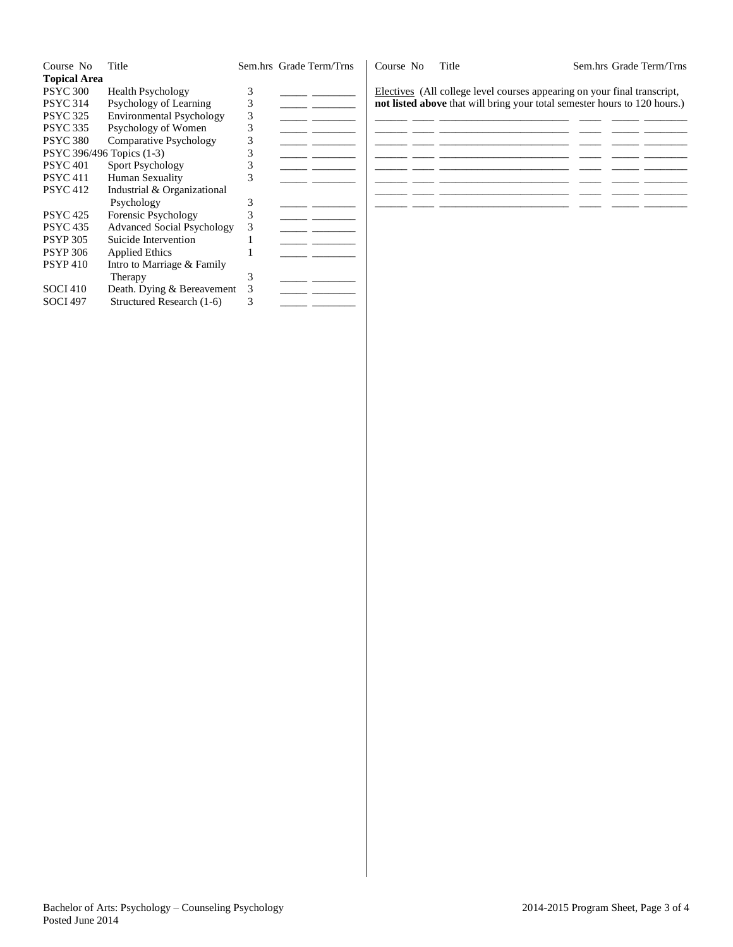| Course No                 | Title                             |   | Sem.hrs Grade Term/Trns | Course No | Title                                                                     | Sem.hrs Grade Term/Trns |
|---------------------------|-----------------------------------|---|-------------------------|-----------|---------------------------------------------------------------------------|-------------------------|
| <b>Topical Area</b>       |                                   |   |                         |           |                                                                           |                         |
| <b>PSYC 300</b>           | <b>Health Psychology</b>          |   |                         |           | Electives (All college level courses appearing on your final transcript,  |                         |
| <b>PSYC 314</b>           | Psychology of Learning            | 3 |                         |           | not listed above that will bring your total semester hours to 120 hours.) |                         |
| <b>PSYC 325</b>           | <b>Environmental Psychology</b>   | 3 |                         |           |                                                                           |                         |
| <b>PSYC 335</b>           | Psychology of Women               | 3 |                         |           |                                                                           |                         |
| <b>PSYC 380</b>           | <b>Comparative Psychology</b>     |   |                         |           |                                                                           |                         |
| PSYC 396/496 Topics (1-3) |                                   |   |                         |           |                                                                           |                         |
| <b>PSYC 401</b>           | Sport Psychology                  |   |                         |           |                                                                           |                         |
| <b>PSYC 411</b>           | Human Sexuality                   | 3 |                         |           |                                                                           |                         |
| <b>PSYC 412</b>           | Industrial & Organizational       |   |                         |           |                                                                           |                         |
|                           | Psychology                        |   |                         |           |                                                                           |                         |
| <b>PSYC 425</b>           | Forensic Psychology               |   |                         |           |                                                                           |                         |
| <b>PSYC 435</b>           | <b>Advanced Social Psychology</b> | 3 |                         |           |                                                                           |                         |
| <b>PSYP 305</b>           | Suicide Intervention              |   |                         |           |                                                                           |                         |
| <b>PSYP 306</b>           | <b>Applied Ethics</b>             |   |                         |           |                                                                           |                         |
| <b>PSYP410</b>            | Intro to Marriage & Family        |   |                         |           |                                                                           |                         |
|                           | Therapy                           | 3 |                         |           |                                                                           |                         |
| <b>SOCI 410</b>           | Death. Dying & Bereavement        |   |                         |           |                                                                           |                         |
| <b>SOCI 497</b>           | Structured Research (1-6)         |   |                         |           |                                                                           |                         |